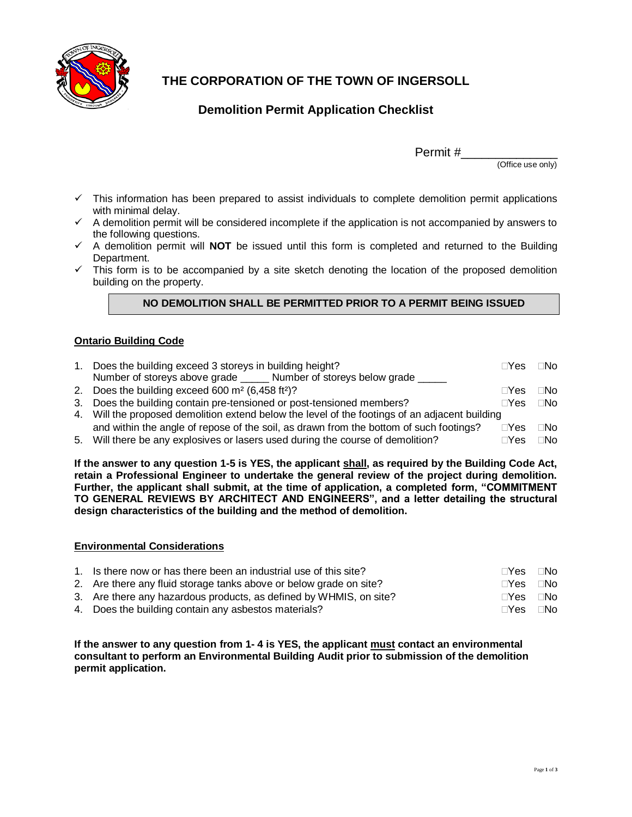

# **THE CORPORATION OF THE TOWN OF INGERSOLL**

## **Demolition Permit Application Checklist**

Permit #\_\_\_\_\_\_\_\_\_\_\_\_\_\_

(Office use only)

- $\checkmark$  This information has been prepared to assist individuals to complete demolition permit applications with minimal delay.
- $\checkmark$  A demolition permit will be considered incomplete if the application is not accompanied by answers to the following questions.
- $\checkmark$  A demolition permit will **NOT** be issued until this form is completed and returned to the Building Department.
- $\checkmark$  This form is to be accompanied by a site sketch denoting the location of the proposed demolition building on the property.

## **NO DEMOLITION SHALL BE PERMITTED PRIOR TO A PERMIT BEING ISSUED**

### **Ontario Building Code**

| 1. | Does the building exceed 3 storeys in building height?                                         | $\sqcap$ Yes | $\Box$ No |  |
|----|------------------------------------------------------------------------------------------------|--------------|-----------|--|
|    | Number of storeys above grade _______ Number of storeys below grade ______                     |              |           |  |
|    | 2. Does the building exceed 600 $m2$ (6,458 ft <sup>2</sup> )?                                 | $\Box$ Yes   | ⊟No       |  |
|    | 3. Does the building contain pre-tensioned or post-tensioned members?                          | $\Box$ Yes   | $\Box$ No |  |
|    | 4. Will the proposed demolition extend below the level of the footings of an adjacent building |              |           |  |
|    | and within the angle of repose of the soil, as drawn from the bottom of such footings?         | $\sqcap$ Yes | $\Box$ No |  |
|    | 5. Will there be any explosives or lasers used during the course of demolition?                | $\Box$ Yes   | ⊓No       |  |

**If the answer to any question 1-5 is YES, the applicant shall, as required by the Building Code Act, retain a Professional Engineer to undertake the general review of the project during demolition. Further, the applicant shall submit, at the time of application, a completed form, "COMMITMENT TO GENERAL REVIEWS BY ARCHITECT AND ENGINEERS", and a letter detailing the structural design characteristics of the building and the method of demolition.**

#### **Environmental Considerations**

| 1. Is there now or has there been an industrial use of this site?  | $\sqcap$ Yes | ⊟No |
|--------------------------------------------------------------------|--------------|-----|
| 2. Are there any fluid storage tanks above or below grade on site? | ∏Yes ∏No     |     |
| 3. Are there any hazardous products, as defined by WHMIS, on site? | ∏Yes ∏No     |     |
| 4. Does the building contain any asbestos materials?               | $\sqcap$ Yes | ⊟No |

**If the answer to any question from 1- 4 is YES, the applicant must contact an environmental consultant to perform an Environmental Building Audit prior to submission of the demolition permit application.**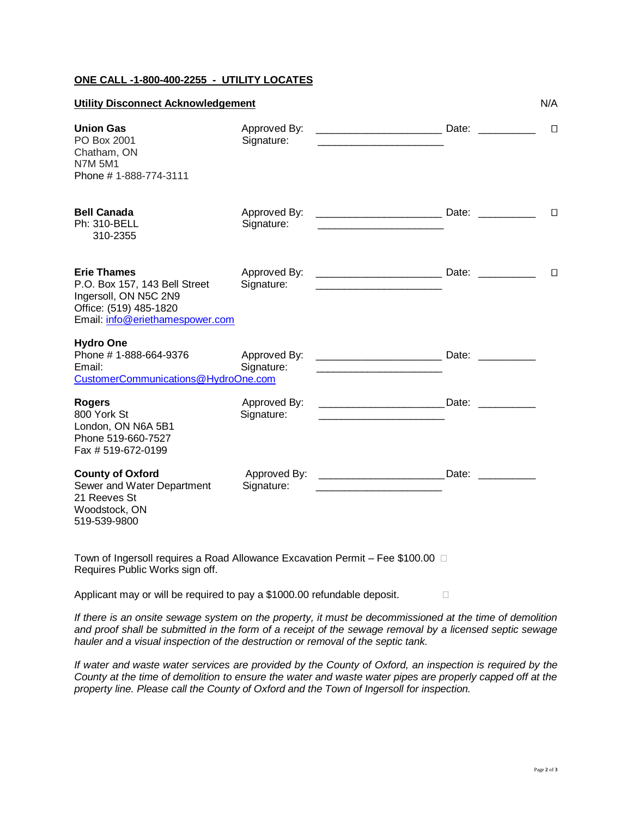### **ONE CALL -1-800-400-2255 - UTILITY LOCATES**

| <b>Utility Disconnect Acknowledgement</b>                                                                                                 |                            | N/A                                                                                                                  |  |        |
|-------------------------------------------------------------------------------------------------------------------------------------------|----------------------------|----------------------------------------------------------------------------------------------------------------------|--|--------|
| <b>Union Gas</b><br>PO Box 2001<br>Chatham, ON<br><b>N7M 5M1</b><br>Phone # 1-888-774-3111                                                | Approved By:<br>Signature: |                                                                                                                      |  | $\Box$ |
| <b>Bell Canada</b><br><b>Ph: 310-BELL</b><br>310-2355                                                                                     | Approved By:<br>Signature: |                                                                                                                      |  | $\Box$ |
| <b>Erie Thames</b><br>P.O. Box 157, 143 Bell Street<br>Ingersoll, ON N5C 2N9<br>Office: (519) 485-1820<br>Email: info@eriethamespower.com | Approved By:<br>Signature: | <u> 1989 - Johann Barbara, martin amerikan basar dan basa dan basa dan basa dalam basa dalam basa dalam basa dan</u> |  | $\Box$ |
| <b>Hydro One</b><br>Phone # 1-888-664-9376<br>Email:<br>CustomerCommunications@HydroOne.com                                               | Approved By:<br>Signature: |                                                                                                                      |  |        |
| <b>Rogers</b><br>800 York St<br>London, ON N6A 5B1<br>Phone 519-660-7527<br>Fax #519-672-0199                                             | Approved By:<br>Signature: | <b>Date:</b> Date:                                                                                                   |  |        |
| <b>County of Oxford</b><br>Sewer and Water Department<br>21 Reeves St<br>Woodstock, ON<br>519-539-9800                                    | Signature:                 |                                                                                                                      |  |        |

Town of Ingersoll requires a Road Allowance Excavation Permit – Fee \$100.00 Requires Public Works sign off.

Applicant may or will be required to pay a \$1000.00 refundable deposit.

*If there is an onsite sewage system on the property, it must be decommissioned at the time of demolition and proof shall be submitted in the form of a receipt of the sewage removal by a licensed septic sewage hauler and a visual inspection of the destruction or removal of the septic tank.*

*If water and waste water services are provided by the County of Oxford, an inspection is required by the County at the time of demolition to ensure the water and waste water pipes are properly capped off at the property line. Please call the County of Oxford and the Town of Ingersoll for inspection.*